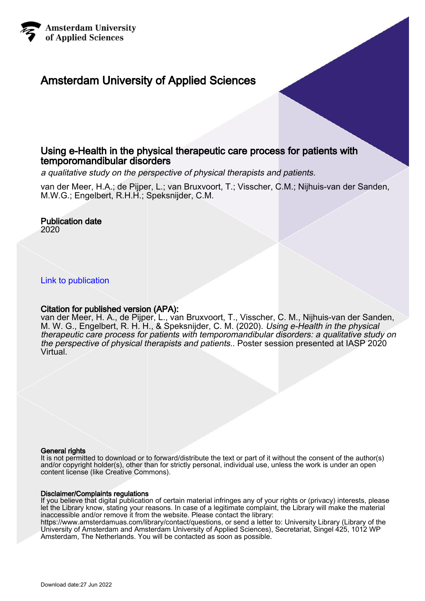

## Amsterdam University of Applied Sciences

## Using e-Health in the physical therapeutic care process for patients with temporomandibular disorders

a qualitative study on the perspective of physical therapists and patients.

van der Meer, H.A.; de Pijper, L.; van Bruxvoort, T.; Visscher, C.M.; Nijhuis-van der Sanden, M.W.G.; Engelbert, R.H.H.; Speksnijder, C.M.

## Publication date

2020

[Link to publication](https://research.hva.nl/en/publications/14ed0847-617e-4fba-ab44-94d913eb09f2)

### Citation for published version (APA):

van der Meer, H. A., de Pijper, L., van Bruxvoort, T., Visscher, C. M., Nijhuis-van der Sanden, M. W. G., Engelbert, R. H. H., & Speksnijder, C. M. (2020). Using e-Health in the physical therapeutic care process for patients with temporomandibular disorders: a qualitative study on the perspective of physical therapists and patients.. Poster session presented at IASP 2020 Virtual.

### General rights

It is not permitted to download or to forward/distribute the text or part of it without the consent of the author(s) and/or copyright holder(s), other than for strictly personal, individual use, unless the work is under an open content license (like Creative Commons).

### Disclaimer/Complaints regulations

If you believe that digital publication of certain material infringes any of your rights or (privacy) interests, please let the Library know, stating your reasons. In case of a legitimate complaint, the Library will make the material inaccessible and/or remove it from the website. Please contact the library:

https://www.amsterdamuas.com/library/contact/questions, or send a letter to: University Library (Library of the University of Amsterdam and Amsterdam University of Applied Sciences), Secretariat, Singel 425, 1012 WP Amsterdam, The Netherlands. You will be contacted as soon as possible.